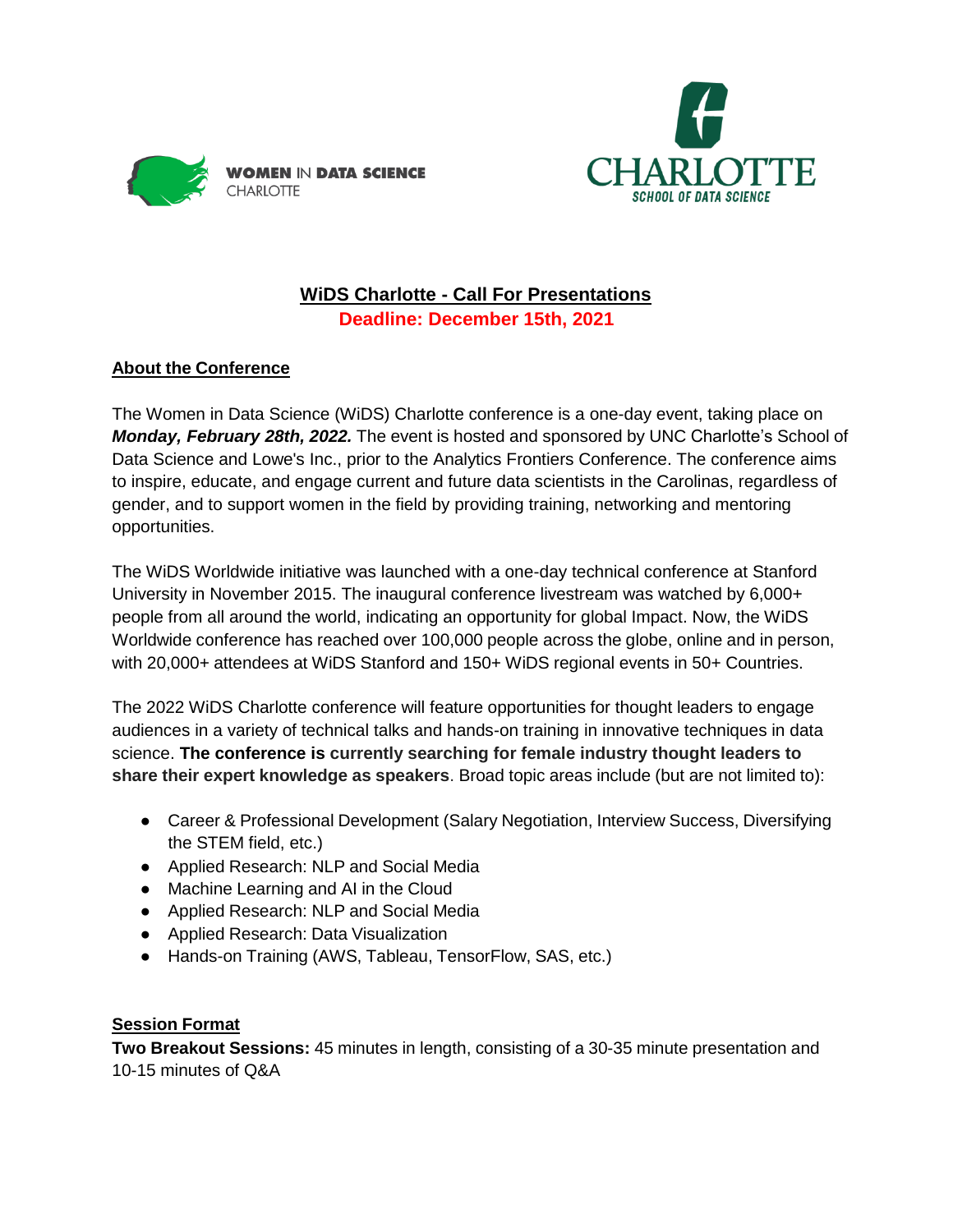



# **WiDS Charlotte - Call For Presentations Deadline: December 15th, 2021**

## **About the Conference**

The Women in Data Science (WiDS) Charlotte conference is a one-day event, taking place on *Monday, February 28th, 2022.* The event is hosted and sponsored by UNC Charlotte's School of Data Science and Lowe's Inc., prior to the Analytics Frontiers Conference. The conference aims to inspire, educate, and engage current and future data scientists in the Carolinas, regardless of gender, and to support women in the field by providing training, networking and mentoring opportunities.

The WiDS Worldwide initiative was launched with a one-day technical conference at Stanford University in November 2015. The inaugural conference livestream was watched by 6,000+ people from all around the world, indicating an opportunity for global Impact. Now, the WiDS Worldwide conference has reached over 100,000 people across the globe, online and in person, with 20,000+ attendees at WiDS Stanford and 150+ WiDS regional events in 50+ Countries.

The 2022 WiDS Charlotte conference will feature opportunities for thought leaders to engage audiences in a variety of technical talks and hands-on training in innovative techniques in data science. **The conference is currently searching for female industry thought leaders to share their expert knowledge as speakers**. Broad topic areas include (but are not limited to):

- Career & Professional Development (Salary Negotiation, Interview Success, Diversifying the STEM field, etc.)
- Applied Research: NLP and Social Media
- Machine Learning and AI in the Cloud
- Applied Research: NLP and Social Media
- Applied Research: Data Visualization
- Hands-on Training (AWS, Tableau, TensorFlow, SAS, etc.)

## **Session Format**

**Two Breakout Sessions:** 45 minutes in length, consisting of a 30-35 minute presentation and 10-15 minutes of Q&A